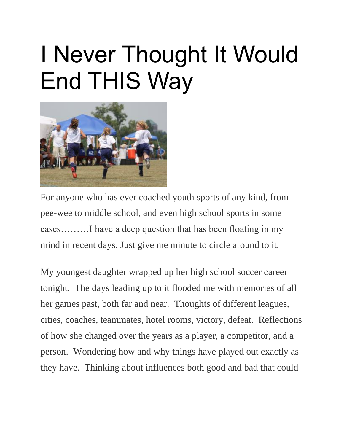## I Never Thought It Would End THIS Way



For anyone who has ever coached youth sports of any kind, from pee-wee to middle school, and even high school sports in some cases………I have a deep question that has been floating in my mind in recent days. Just give me minute to circle around to it.

My youngest daughter wrapped up her high school soccer career tonight. The days leading up to it flooded me with memories of all her games past, both far and near. Thoughts of different leagues, cities, coaches, teammates, hotel rooms, victory, defeat. Reflections of how she changed over the years as a player, a competitor, and a person. Wondering how and why things have played out exactly as they have. Thinking about influences both good and bad that could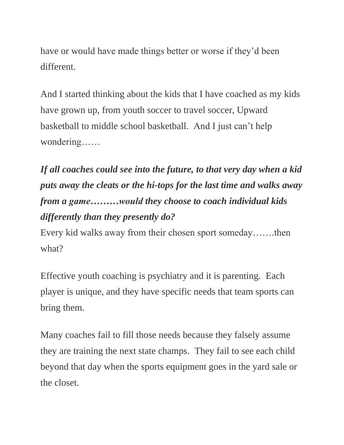have or would have made things better or worse if they'd been different.

And I started thinking about the kids that I have coached as my kids have grown up, from youth soccer to travel soccer, Upward basketball to middle school basketball. And I just can't help wondering……

*If all coaches could see into the future, to that very day when a kid puts away the cleats or the hi-tops for the last time and walks away from a game………would they choose to coach individual kids differently than they presently do?*

Every kid walks away from their chosen sport someday…….then what?

Effective youth coaching is psychiatry and it is parenting. Each player is unique, and they have specific needs that team sports can bring them.

Many coaches fail to fill those needs because they falsely assume they are training the next state champs. They fail to see each child beyond that day when the sports equipment goes in the yard sale or the closet.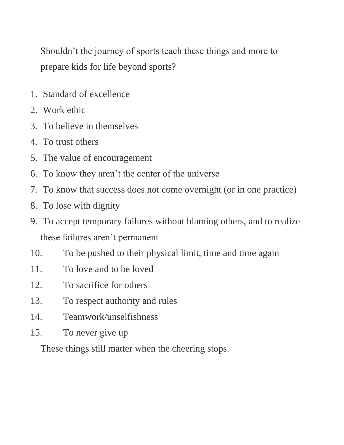Shouldn't the journey of sports teach these things and more to prepare kids for life beyond sports?

- 1. Standard of excellence
- 2. Work ethic
- 3. To believe in themselves
- 4. To trust others
- 5. The value of encouragement
- 6. To know they aren't the center of the universe
- 7. To know that success does not come overnight (or in one practice)
- 8. To lose with dignity
- 9. To accept temporary failures without blaming others, and to realize these failures aren't permanent
- 10. To be pushed to their physical limit, time and time again
- 11. To love and to be loved
- 12. To sacrifice for others
- 13. To respect authority and rules
- 14. Teamwork/unselfishness
- 15. To never give up

These things still matter when the cheering stops.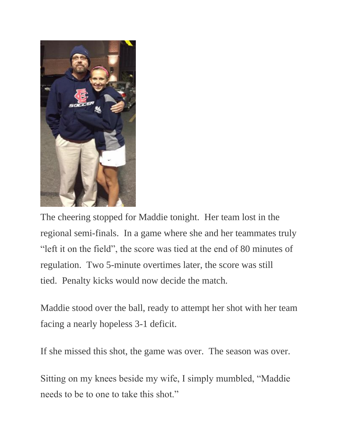

The cheering stopped for Maddie tonight. Her team lost in the regional semi-finals. In a game where she and her teammates truly "left it on the field", the score was tied at the end of 80 minutes of regulation. Two 5-minute overtimes later, the score was still tied. Penalty kicks would now decide the match.

Maddie stood over the ball, ready to attempt her shot with her team facing a nearly hopeless 3-1 deficit.

If she missed this shot, the game was over. The season was over.

Sitting on my knees beside my wife, I simply mumbled, "Maddie needs to be to one to take this shot."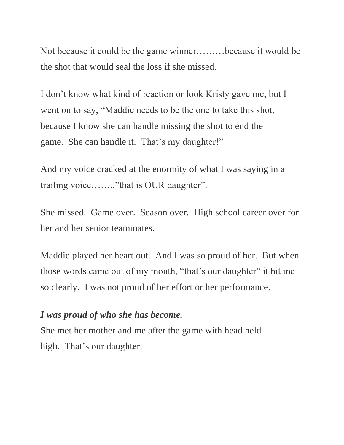Not because it could be the game winner………because it would be the shot that would seal the loss if she missed.

I don't know what kind of reaction or look Kristy gave me, but I went on to say, "Maddie needs to be the one to take this shot, because I know she can handle missing the shot to end the game. She can handle it. That's my daughter!"

And my voice cracked at the enormity of what I was saying in a trailing voice…….."that is OUR daughter".

She missed. Game over. Season over. High school career over for her and her senior teammates.

Maddie played her heart out. And I was so proud of her. But when those words came out of my mouth, "that's our daughter" it hit me so clearly. I was not proud of her effort or her performance.

## *I was proud of who she has become.*

She met her mother and me after the game with head held high. That's our daughter.